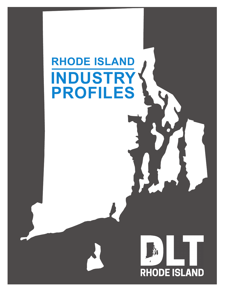# **RHODE ISLAND INDUSTRY PROFILES**

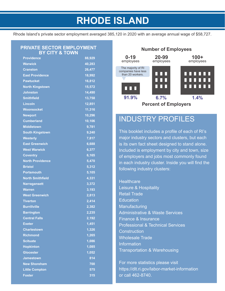### **RHODE ISLAND**

Rhode Island's private sector employment averaged 385,120 in 2020 with an average annual wage of \$58,727.

#### **PRIVATE SECTOR EMPLOYMENT BY CITY & TOWN**

| <b>Providence</b>       | 88,929 |
|-------------------------|--------|
| <b>Warwick</b>          | 40,283 |
| <b>Cranston</b>         | 26,477 |
| <b>East Providence</b>  | 18,992 |
| <b>Pawtucket</b>        | 16,812 |
| <b>North Kingstown</b>  | 15,572 |
| <b>Johnston</b>         | 14,490 |
| <b>Smithfield</b>       | 13,758 |
| <b>Lincoln</b>          | 12,851 |
| <b>Woonsocket</b>       | 11,316 |
| <b>Newport</b>          | 10,296 |
| <b>Cumberland</b>       | 10,106 |
| <b>Middletown</b>       | 9,781  |
| <b>South Kingstown</b>  | 9,240  |
| <b>Westerly</b>         | 7,817  |
| <b>East Greenwich</b>   | 6,688  |
| <b>West Warwick</b>     | 6,377  |
| <b>Coventry</b>         | 6,165  |
| <b>North Providence</b> | 5,470  |
| <b>Bristol</b>          | 5,312  |
| <b>Portsmouth</b>       | 5,105  |
| <b>North Smithfield</b> | 4,331  |
| <b>Narragansett</b>     | 3,372  |
| <b>Warren</b>           | 3,193  |
| <b>West Greenwich</b>   | 2,813  |
| <b>Tiverton</b>         | 2,414  |
| <b>Burrillville</b>     | 2,382  |
| <b>Barrington</b>       | 2,235  |
| <b>Central Falls</b>    | 2,192  |
| Exeter                  | 1,451  |
| <b>Charlestown</b>      | 1,326  |
| <b>Richmond</b>         | 1,265  |
| <b>Scituate</b>         | 1,086  |
| <b>Hopkinton</b>        | 1,085  |
| <b>Glocester</b>        | 1,052  |
| <b>Jamestown</b>        | 814    |
| <b>New Shoreham</b>     | 700    |
| <b>Little Compton</b>   | 575    |
| <b>Foster</b>           | 315    |



### INDUSTRY PROFILES

This booklet includes a profile of each of RI's major industry sectors and clusters, but each is its own fact sheet designed to stand alone. Included is employment by city and town, size of employers and jobs most commonly found in each industry cluster. Inside you will find the following industry clusters:

**Healthcare** Leisure & Hospitality Retail Trade **Education Manufacturing** Administrative & Waste Services Finance & Insurance Professional & Technical Services **Construction** Wholesale Trade Information Transportation & Warehousing

For more statistics please visit https://dlt.ri.gov/labor-market-information or call 462-8740.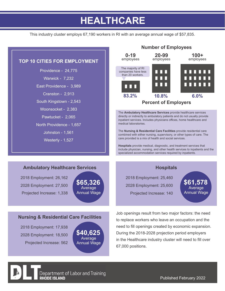### **HEALTHCARE**

This industry cluster employs 67,190 workers in RI with an average annual wage of \$57,835.



Department of Labor and Training **RHODE ISLAND** 

Published February 2022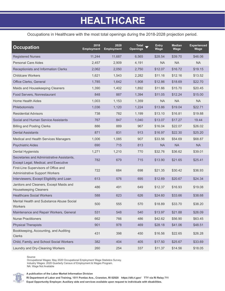### **HEALTHCARE**

Occupations in Healthcare with the most total openings during the 2018-2028 projection period.

| <b>Occupation</b>                                                                  | 2018<br><b>Employment</b> | 2028<br><b>Employment</b> | Total<br><b>Openings</b> | Entry<br>Wage | <b>Median</b><br>Wage | <b>Experienced</b><br>Wage |
|------------------------------------------------------------------------------------|---------------------------|---------------------------|--------------------------|---------------|-----------------------|----------------------------|
| <b>Registered Nurses</b>                                                           | 11,244                    | 11,687                    | 6,565                    | \$28.54       | \$39.70               | \$46.06                    |
| <b>Personal Care Aides</b>                                                         | 2,457                     | 2,909                     | 4,191                    | NA.           | <b>NA</b>             | <b>NA</b>                  |
| Receptionists and Information Clerks                                               | 2,062                     | 2,050                     | 2,750                    | \$12.07       | \$16.72               | \$19.15                    |
| <b>Childcare Workers</b>                                                           | 1,621                     | 1,543                     | 2,282                    | \$11.16       | \$12.16               | \$13.52                    |
| Office Clerks, General                                                             | 1,785                     | 1,642                     | 1,908                    | \$12.86       | \$18.69               | \$22.70                    |
| Maids and Housekeeping Cleaners                                                    | 1,390                     | 1,402                     | 1,892                    | \$11.66       | \$15.70               | \$20.45                    |
| Food Servers, Nonrestaurant                                                        | 848                       | 887                       | 1,394                    | \$11.05       | \$12.24               | \$15.00                    |
| <b>Home Health Aides</b>                                                           | 1,003                     | 1,153                     | 1,359                    | NA.           | <b>NA</b>             | <b>NA</b>                  |
| <b>Phlebotomists</b>                                                               | 1,036                     | 1,120                     | 1,224                    | \$13.86       | \$19.04               | \$22.71                    |
| <b>Residential Advisors</b>                                                        | 738                       | 782                       | 1,199                    | \$13.10       | \$16.81               | \$19.88                    |
| Social and Human Service Assistants                                                | 767                       | 847                       | 1,040                    | \$13.07       | \$17.27               | 19.44                      |
| <b>Billing and Posting Clerks</b>                                                  | 886                       | 889                       | 967                      | \$16.04       | \$22.07               | \$26.02                    |
| <b>Dental Assistants</b>                                                           | 871                       | 831                       | 913                      | \$16.97       | \$22.30               | \$25.20                    |
| Medical and Health Services Managers                                               | 1,006                     | 1,085                     | 907                      | \$33.56       | \$54.69               | \$68.87                    |
| <b>Psychiatric Aides</b>                                                           | 690                       | 715                       | 813                      | <b>NA</b>     | <b>NA</b>             | <b>NA</b>                  |
| <b>Dental Hygienists</b>                                                           | 1,271                     | 1,210                     | 770                      | \$32.76       | \$36.62               | \$39.01                    |
| Secretaries and Administrative Assistants,<br>Except Legal, Medical, and Executive | 782                       | 679                       | 715                      | \$13.90       | \$21.65               | \$25.41                    |
| First-Line Supervisors of Office and<br><b>Administrative Support Workers</b>      | 722                       | 684                       | 698                      | \$21.35       | \$30.42               | \$36.93                    |
| Interviewers, Except Eligibility and Loan                                          | 613                       | 576                       | 695                      | \$12.69       | \$20.67               | \$24.34                    |
| Janitors and Cleaners, Except Maids and<br><b>Housekeeping Cleaners</b>            | 486                       | 491                       | 649                      | \$12.37       | \$16.93               | \$19.08                    |
| <b>Healthcare Social Workers</b>                                                   | 588                       | 623                       | 626                      | \$24.60       | \$33.66               | \$38.68                    |
| Mental Health and Substance Abuse Social<br>Workers                                | 500                       | 555                       | 570                      | \$18.89       | \$33.70               | \$38.20                    |
| Maintenance and Repair Workers, General                                            | 531                       | 548                       | 540                      | \$13.97       | \$21.88               | \$26.09                    |
| <b>Nurse Practitioners</b>                                                         | 662                       | 766                       | 486                      | \$42.62       | \$56.90               | \$63.45                    |
| <b>Physical Therapists</b>                                                         | 901                       | 978                       | 469                      | \$28.18       | \$41.06               | \$48.51                    |
| Bookkeeping, Accounting, and Auditing<br>Clerks                                    | 431                       | 398                       | 450                      | \$16.56       | \$22.65               | \$26.28                    |
| Child, Family, and School Social Workers                                           | 382                       | 404                       | 405                      | \$17.50       | \$25.67               | \$33.69                    |
| Laundry and Dry-Cleaning Workers                                                   | 260                       | 254                       | 337                      | \$11.37       | \$14.56               | \$18.05                    |

Source:

Occupational Wages: May 2020 Occupational Employment Wage Statistics Survey. Industry Wages: 2020 Quarterly Census of Employment & Wages Program. NA: Wage Not Available



**A publication of the Labor Market Information Division**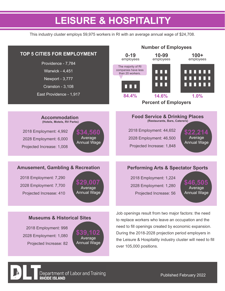### **LEISURE & HOSPITALITY**

This industry cluster employs 59,975 workers in RI with an average annual wage of \$24,708.



2018 Employment: 998 2028 Employment: 1,080 Projected Increase: 82



need to fill openings created by economic expansion. During the 2018-2028 projection period employers in the Leisure & Hospitality industry cluster will need to fill over 105,000 positions.

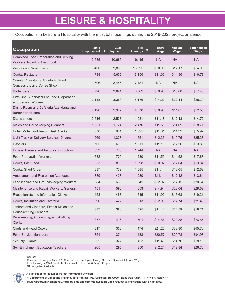### **LEISURE & HOSPITALITY**

Occupations in Leisure & Hospitality with the most total openings during the 2018-2028 projection period.

| <b>Occupation</b>                                                            | 2018<br><b>Employment</b> | 2028<br><b>Employment</b> | Total<br><b>Openings</b> | <b>Entry</b><br>Wage | <b>Median</b><br>Wage | <b>Experienced</b><br>Wage |
|------------------------------------------------------------------------------|---------------------------|---------------------------|--------------------------|----------------------|-----------------------|----------------------------|
| <b>Combined Food Preparation and Serving</b><br>Workers, Including Fast Food | 9,535                     | 10,665                    | 19,115                   | <b>NA</b>            | <b>NA</b>             | <b>NA</b>                  |
| <b>Waiters and Waitresses</b>                                                | 9,430                     | 9,836                     | 18,895                   | \$10.93              | \$12.17               | \$14.98                    |
| Cooks, Restaurant                                                            | 4,798                     | 5,658                     | 8,256                    | \$11.66              | \$14.36               | \$16.79                    |
| Counter Attendants, Cafeteria, Food<br>Concession, and Coffee Shop           | 3,506                     | 3,445                     | 7,481                    | <b>NA</b>            | <b>NA</b>             | <b>NA</b>                  |
| <b>Bartenders</b>                                                            | 3,726                     | 3,894                     | 6,869                    | \$10.98              | \$13.88               | \$17.40                    |
| First-Line Supervisors of Food Preparation<br>and Serving Workers            | 3,148                     | 3,358                     | 5,176                    | \$14.22              | \$22.44               | \$28.30                    |
| Dining Room and Cafeteria Attendants and<br><b>Bartender Helpers</b>         | 2,198                     | 2,372                     | 4,078                    | \$10.95              | \$11.85               | \$12.58                    |
| <b>Dishwashers</b>                                                           | 2,516                     | 2,537                     | 4,031                    | \$11.18              | \$12.43               | \$14.72                    |
| Maids and Housekeeping Cleaners                                              | 1,251                     | 1,724                     | 2,476                    | \$11.50              | \$14.69               | \$18.71                    |
| Hotel, Motel, and Resort Desk Clerks                                         | 678                       | 934                       | 1,621                    | \$11.81              | \$14.32               | \$15.92                    |
| <b>Light Truck or Delivery Services Drivers</b>                              | 1,269                     | 1,338                     | 1,551                    | \$12.33              | \$19.75               | \$25.23                    |
| Cashiers                                                                     | 705                       | 695                       | 1,311                    | \$11.16              | \$12.26               | \$13.86                    |
| <b>Fitness Trainers and Aerobics Instructors</b>                             | 633                       | 738                       | 1,244                    | <b>NA</b>            | <b>NA</b>             | <b>NA</b>                  |
| <b>Food Preparation Workers</b>                                              | 682                       | 709                       | 1,230                    | \$11.59              | \$14.52               | \$17.67                    |
| Cooks, Fast Food                                                             | 933                       | 803                       | 1,098                    | \$10.97              | \$12.04               | \$13.84                    |
| Cooks, Short Order                                                           | 837                       | 779                       | 1,085                    | \$11.14              | \$12.05               | \$12.62                    |
| <b>Amusement and Recreation Attendants</b>                                   | 389                       | 428                       | 980                      | \$11.11              | \$12.12               | \$13.64                    |
| Landscaping and Groundskeeping Workers                                       | 584                       | 635                       | 841                      | \$12.97              | \$17.15               | \$20.64                    |
| Maintenance and Repair Workers, General                                      | 451                       | 596                       | 653                      | \$14.94              | \$23.04               | \$29.69                    |
| Receptionists and Information Clerks                                         | 453                       | 457                       | 615                      | \$11.92              | \$16.63               | \$19.31                    |
| Cooks, Institution and Cafeteria                                             | 396                       | 427                       | 613                      | \$12.98              | \$17.74               | \$21.48                    |
| Janitors and Cleaners, Except Maids and<br><b>Housekeeping Cleaners</b>      | 337                       | 386                       | 525                      | \$11.42              | \$14.59               | \$18.21                    |
| Bookkeeping, Accounting, and Auditing<br><b>Clerks</b>                       | 377                       | 416                       | 501                      | \$14.54              | \$22.38               | \$26.55                    |
| <b>Chefs and Head Cooks</b>                                                  | 317                       | 353                       | 474                      | \$21.20              | \$33.80               | \$45.76                    |
| <b>Food Service Managers</b>                                                 | 351                       | 374                       | 438                      | \$20.57              | \$29.78               | \$34.93                    |
| <b>Security Guards</b>                                                       | 322                       | 327                       | 423                      | \$11.49              | \$14.76               | \$18.10                    |
| Self-Enrichment Education Teachers                                           | 265                       | 295                       | 350                      | \$12.21              | \$19.84               | \$26.78                    |

Source:

Occupational Wages: May 2020 Occupational Employment Wage Statistics Survey. Statewide Wages Industry Wages: 2020 Quarterly Census of Employment & Wages Program. NA: Wage Not Available



**A publication of the Labor Market Information Division**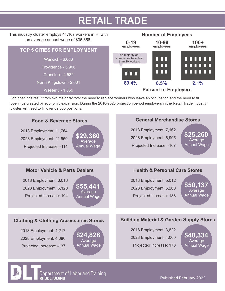### **RETAIL TRADE**

#### This industry cluster employs 44,167 workers in RI with an average annual wage of \$36,856.





Job openings result from two major factors: the need to replace workers who leave an occupation and the need to fill openings created by economic expansion. During the 2018-2028 projection period employers in the Retail Trade industry cluster will need to fill over 69,000 positions.



Department of Labor and Training **RHODE ISLAND** 

Published February 2022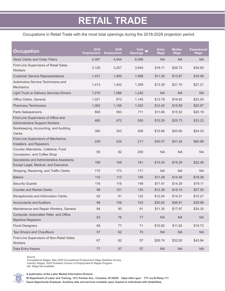#### Occupations in Retail Trade with the most total openings during the 2018-2028 projection period.

| <b>Occupation</b>                                                                  | 2018<br><b>Employment</b> | 2028<br><b>Employment</b> | <b>Total</b><br><b>Openings</b> | <b>Entry</b><br>Wage | <b>Median</b><br><b>Wage</b> | <b>Experienced</b><br>Wage |
|------------------------------------------------------------------------------------|---------------------------|---------------------------|---------------------------------|----------------------|------------------------------|----------------------------|
| <b>Stock Clerks and Order Fillers</b>                                              | 4,397                     | 4,544                     | 6,098                           | <b>NA</b>            | <b>NA</b>                    | <b>NA</b>                  |
| First-Line Supervisors of Retail Sales<br>Workers                                  | 3,126                     | 3,257                     | 3,640                           | \$16.11              | \$26.72                      | \$34.65                    |
| <b>Customer Service Representatives</b>                                            | 1,431                     | 1,400                     | 1,856                           | \$11.26              | \$13.87                      | \$16.48                    |
| Automotive Service Technicians and<br><b>Mechanics</b>                             | 1,413                     | 1,402                     | 1,359                           | \$13.39              | \$21.70                      | \$27.21                    |
| <b>Light Truck or Delivery Services Drivers</b>                                    | 1,075                     | 1,086                     | 1,240                           | <b>NA</b>            | <b>NA</b>                    | <b>NA</b>                  |
| Office Clerks, General                                                             | 1,021                     | 973                       | 1,145                           | \$13.78              | \$19.92                      | \$23.55                    |
| <b>Pharmacy Technicians</b>                                                        | 1,063                     | 1,166                     | 1,002                           | \$12.42              | \$16.99                      | \$20.97                    |
| Parts Salespersons                                                                 | 600                       | 593                       | 711                             | \$11.66              | \$15.52                      | \$20.18                    |
| First-Line Supervisors of Office and<br><b>Administrative Support Workers</b>      | 460                       | 472                       | 500                             | \$15.29              | \$25.73                      | \$33.23                    |
| Bookkeeping, Accounting, and Auditing<br><b>Clerks</b>                             | 365                       | 353                       | 406                             | \$15.68              | \$20.90                      | \$24.43                    |
| First-Line Supervisors of Mechanics,<br>Installers, and Repairers                  | 229                       | 234                       | 217                             | \$30.57              | \$41.34                      | \$60.96                    |
| Counter Attendants, Cafeteria, Food<br>Concession, and Coffee Shop                 | 95                        | 92                        | 200                             | <b>NA</b>            | <b>NA</b>                    | <b>NA</b>                  |
| Secretaries and Administrative Assistants,<br>Except Legal, Medical, and Executive | 189                       | 169                       | 181                             | \$15.24              | \$19.29                      | \$22.48                    |
| Shipping, Receiving, and Traffic Clerks                                            | 175                       | 173                       | 171                             | <b>NA</b>            | <b>NA</b>                    | <b>NA</b>                  |
| <b>Bakers</b>                                                                      | 110                       | 113                       | 156                             | \$11.28              | \$14.26                      | \$18.08                    |
| <b>Security Guards</b>                                                             | 116                       | 116                       | 149                             | \$11.47              | \$14.29                      | \$19.11                    |
| <b>Counter and Rental Clerks</b>                                                   | 98                        | 101                       | 130                             | \$12.36              | \$18.10                      | \$27.05                    |
| Receptionists and Information Clerks                                               | 92                        | 91                        | 122                             | \$12.54              | \$14.21                      | \$15.27                    |
| <b>Accountants and Auditors</b>                                                    | 98                        | 106                       | 103                             | \$30.62              | \$36.91                      | \$39.98                    |
| Maintenance and Repair Workers, General                                            | 84                        | $90\,$                    | 91                              | \$11.30              | \$17.87                      | \$24.30                    |
| Computer, Automated Teller, and Office<br><b>Machine Repairers</b>                 | 83                        | 76                        | $77 \,$                         | NA                   | NA                           | NA                         |
| <b>Floral Designers</b>                                                            | 89                        | 77                        | 71                              | \$10.90              | \$11.82                      | \$19.73                    |
| <b>Taxi Drivers and Chauffeurs</b>                                                 | 57                        | 62                        | 70                              | NA                   | NA                           | NA                         |
| First-Line Supervisors of Non-Retail Sales<br>Workers                              | 67                        | 62                        | 57                              | \$26.74              | \$32.50                      | \$43.94                    |
| Data Entry Keyers                                                                  | $77\,$                    | 57                        | 57                              | $\sf NA$             | $\sf NA$                     | <b>NA</b>                  |

Source:

Occupational Wages: May 2020 Occupational Employment Wage Statistics Survey. Industry Wages: 2020 Quarterly Census of Employment & Wages Program. NA: Wage Not Available



**RI Department of Labor and Training, 1511 Pontiac Ave., Cranston, RI 02920 https://dlt.ri.gov/ TTY via RI Relay 711**

**Equal Opportunity Employer. Auxiliary aids and services available upon request to individuals with disabilities.**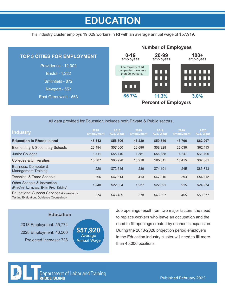### **EDUCATION**

This industry cluster employs 19,629 workers in RI with an average annual wage of \$57,919.



| All data provided for Education includes both Private & Public sectors. |  |
|-------------------------------------------------------------------------|--|
|-------------------------------------------------------------------------|--|

| Industry                                                                                      | 2018<br><b>Employment</b> | 2018<br>Avg. Wage | 2019<br><b>Employment</b> | 2019<br>Avg. Wage | 2020<br><b>Employment</b> | 2020<br>Avg. Wage |  |
|-----------------------------------------------------------------------------------------------|---------------------------|-------------------|---------------------------|-------------------|---------------------------|-------------------|--|
| <b>Education in Rhode Island</b>                                                              | 45,842                    | \$58,306          | 46,230                    | \$59,540          | 43,706                    | \$62,997          |  |
| Elementary & Secondary Schools                                                                | 26,494                    | \$57,000          | 26,696                    | \$58,228          | 25,036                    | \$62,113          |  |
| <b>Junior Colleges</b>                                                                        | 1,411                     | \$55,740          | 1,351                     | \$56,385          | 1,247                     | \$61,400          |  |
| Colleges & Universities                                                                       | 15.707                    | \$63,928          | 15.918                    | \$65,311          | 15.415                    | \$67,081          |  |
| Business, Computer &<br>Management Training                                                   | 220                       | \$72,645          | 236                       | \$74,191          | 245                       | \$83,743          |  |
| <b>Technical &amp; Trade Schools</b>                                                          | 396                       | \$47.614          | 413                       | \$47,810          | 393                       | \$54,112          |  |
| <b>Other Schools &amp; Instruction</b><br>(Fine Arts, Language, Exam Prep, Driving)           | 1,240                     | \$22,334          | 1,237                     | \$22,091          | 915                       | \$24,974          |  |
| <b>Educational Support Services (Consultants,</b><br>Testing Evaluation, Guidance Counseling) | 374                       | \$46,489          | 378                       | \$46,597          | 455                       | \$50,577          |  |



2018 Employment: 45,774 2028 Employment: 46,500 Projected Increase: 726



Job openings result from two major factors: the need to replace workers who leave an occupation and the need to fill openings created by economic expansion. During the 2018-2028 projection period employers in the Education industry cluster will need to fill more than 45,000 positions.

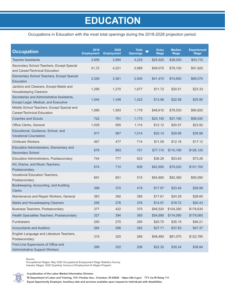### **EDUCATION**

#### Occupations in Education with the most total openings during the 2018-2028 projection period.

| <b>Occupation</b>                                                                  | 2018<br><b>Employment</b> | 2028<br><b>Employment</b> | <b>Total</b><br><b>Openings</b> | <b>Entry</b><br>Wage | <b>Median</b><br><b>Wage</b> | <b>Experienced</b><br><b>Wage</b> |
|------------------------------------------------------------------------------------|---------------------------|---------------------------|---------------------------------|----------------------|------------------------------|-----------------------------------|
| <b>Teacher Assistants</b>                                                          | 3,959                     | 3,994                     | 4,225                           | \$24,520             | \$36,000                     | \$43,110                          |
| Secondary School Teachers, Except Special<br>and Career/Technical Education        | 41,72                     | 4,221                     | 2,989                           | \$49,070             | \$79,100                     | \$91,920                          |
| Elementary School Teachers, Except Special<br>Education                            | 3,329                     | 3,361                     | 2,500                           | \$41,470             | \$74,650                     | \$89,070                          |
| Janitors and Cleaners, Except Maids and<br><b>Housekeeping Cleaners</b>            | 1,256                     | 1,270                     | 1,677                           | \$11.72              | \$20.51                      | \$23.33                           |
| Secretaries and Administrative Assistants,<br>Except Legal, Medical, and Executive | 1,544                     | 1,348                     | 1,422                           | \$13.98              | \$22.58                      | \$25.85                           |
| Middle School Teachers, Except Special and<br>Career/Technical Education           | 1,566                     | 1,583                     | 1,179                           | \$48,610             | \$78,530                     | \$90,820                          |
| <b>Coaches and Scouts</b>                                                          | 722                       | 791                       | 1,173                           | \$23,140             | \$37,190                     | \$56,540                          |
| Office Clerks, General                                                             | 1,029                     | 955                       | 1,114                           | \$12.12              | \$20.57                      | \$23.92                           |
| Educational, Guidance, School, and<br><b>Vocational Counselors</b>                 | 917                       | 967                       | 1,014                           | \$20.14              | \$29.99                      | \$39.98                           |
| <b>Childcare Workers</b>                                                           | 467                       | 477                       | 714                             | \$11.09              | \$12.16                      | \$17.12                           |
| Education Administrators, Elementary and<br><b>Secondary School</b>                | 879                       | 893                       | 701                             | \$77,110             | \$110,190                    | \$126,120                         |
| Education Administrators, Postsecondary                                            | 744                       | 777                       | 623                             | \$36.29              | \$53.83                      | \$73.28                           |
| Art, Drama, and Music Teachers,<br>Postsecondary                                   | 674                       | 710                       | 608                             | \$42,950             | \$75,020                     | \$101,700                         |
| Vocational Education Teachers,<br>Postsecondary                                    | 691                       | 651                       | 515                             | \$54,890             | \$82,380                     | \$95,090                          |
| Bookkeeping, Accounting, and Auditing<br><b>Clerks</b>                             | 399                       | 370                       | 419                             | \$17.97              | \$23.40                      | \$26.88                           |
| Maintenance and Repair Workers, General                                            | 383                       | 392                       | 385                             | \$17.61              | \$24.29                      | \$28.60                           |
| Maids and Housekeeping Cleaners                                                    | 256                       | 276                       | 378                             | \$14.57              | \$18.72                      | \$20.43                           |
| Business Teachers, Postsecondary                                                   | 377                       | 422                       | 375                             | \$46,520             | \$104,280                    | \$178,630                         |
| Health Specialties Teachers, Postsecondary                                         | 327                       | 394                       | 365                             | \$54,890             | \$114,090                    | \$179,060                         |
| Fundraisers                                                                        | 250                       | 270                       | 290                             | \$20.70              | \$35.15                      | \$46.21                           |
| <b>Accountants and Auditors</b>                                                    | 284                       | 296                       | 282                             | \$27.71              | \$37.83                      | \$47.37                           |
| English Language and Literature Teachers,<br>Postsecondary                         | 315                       | 320                       | 268                             | \$48,480             | \$81,070                     | \$122,780                         |
| First-Line Supervisors of Office and<br><b>Administrative Support Workers</b>      | 269                       | 252                       | 256                             | \$22.32              | \$30.24                      | \$36.84                           |

Source:

Occupational Wages: May 2020 Occupational Employment Wage Statistics Survey. Industry Wages: 2020 Quarterly Census of Employment & Wages Program.

**A publication of the Labor Market Information Division**

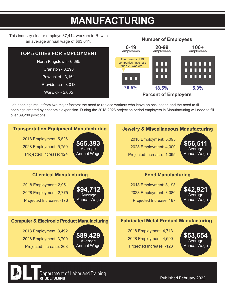### **MANUFACTURING**

**Number of Employees**

This industry cluster employs 37,414 workers in RI with an average annual wage of \$63,641.



Job openings result from two major factors: the need to replace workers who leave an occupation and the need to fill openings created by economic expansion. During the 2018-2028 projection period employers in Manufacturing will need to fill over 39,200 positions.



Department of Labor and Training **RHODE ISLAND** 

Published February 2022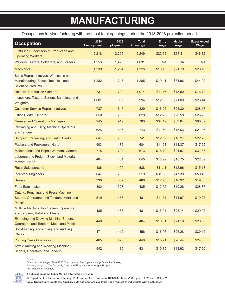### **MANUFACTURING**

Occupations in Manufacturing with the most total openings during the 2018-2028 projection period.

| <b>Occupation</b>                                                                                         | 2018<br><b>Employment</b> | 2028<br><b>Employment</b> | <b>Total</b><br><b>Openings</b> | <b>Entry</b><br>Wage | <b>Median</b><br>Wage | <b>Experienced</b><br>Wage |
|-----------------------------------------------------------------------------------------------------------|---------------------------|---------------------------|---------------------------------|----------------------|-----------------------|----------------------------|
| First-Line Supervisors of Production and<br><b>Operating Workers</b>                                      | 2,218                     | 2,206                     | 2,249                           | \$22.64              | \$37.11               | \$46.32                    |
| Welders, Cutters, Solderers, and Brazers                                                                  | 1,253                     | 1,420                     | 1,631                           | <b>NA</b>            | <b>NA</b>             | <b>NA</b>                  |
| <b>Machinists</b>                                                                                         | 1,239                     | 1,284                     | 1,326                           | \$16.15              | \$21.79               | \$28.10                    |
| Sales Representatives, Wholesale and<br>Manufacturing, Except Technical and<br><b>Scientific Products</b> | 1,282                     | 1,243                     | 1,285                           | \$19.41              | \$31.96               | \$44.99                    |
| <b>Helpers--Production Workers</b>                                                                        | 731                       | 729                       | 1,074                           | \$11.16              | \$13.50               | \$16.12                    |
| Inspectors, Testers, Sorters, Samplers, and<br>Weighers                                                   | 1,061                     | 867                       | 994                             | \$12.55              | \$21.60               | \$28.44                    |
| <b>Customer Service Representatives</b>                                                                   | 737                       | 645                       | 829                             | \$16.25              | \$23.30               | \$28.17                    |
| Office Clerks, General                                                                                    | 850                       | 732                       | 829                             | \$12.73              | \$20.58               | \$25.25                    |
| <b>General and Operations Managers</b>                                                                    | 945                       | 919                       | 783                             | \$34.42              | \$63.64               | \$96.69                    |
| Packaging and Filling Machine Operators<br>and Tenders                                                    | 626                       | 636                       | 743                             | \$11.50              | \$15.63               | \$21.06                    |
| Shipping, Receiving, and Traffic Clerks                                                                   | 847                       | 780                       | 741                             | \$12.82              | \$18.27               | \$22.26                    |
| Packers and Packagers, Hand                                                                               | 503                       | 479                       | 684                             | \$11.53              | \$14.37               | \$17.25                    |
| Maintenance and Repair Workers, General                                                                   | 715                       | 702                       | 673                             | \$16.10              | \$24.97               | \$31.83                    |
| Laborers and Freight, Stock, and Material<br>Movers, Hand                                                 | 464                       | 464                       | 645                             | \$12.99              | \$18.75               | \$22.89                    |
| <b>Retail Salespersons</b>                                                                                | 386                       | 400                       | 588                             | \$11.11              | \$12.96               | \$15.18                    |
| <b>Industrial Engineers</b>                                                                               | 647                       | 705                       | 519                             | \$31.88              | \$47.39               | \$59.49                    |
| <b>Bakers</b>                                                                                             | 330                       | 352                       | 488                             | \$12.75              | \$16.92               | \$19.83                    |
| <b>Food Batchmakers</b>                                                                                   | 302                       | 323                       | 485                             | \$12.52              | \$19.26               | \$28.87                    |
| Cutting, Punching, and Press Machine<br>Setters, Operators, and Tenders, Metal and<br><b>Plastic</b>      | 519                       | 456                       | 481                             | \$11.54              | \$14.97               | \$19.22                    |
| Multiple Machine Tool Setters, Operators,<br>and Tenders, Metal and Plastic                               | 485                       | 468                       | 481                             | \$15.04              | \$25.14               | \$29.02                    |
| <b>Extruding and Drawing Machine Setters,</b><br>Operators, and Tenders, Metal and Plastic                | 440                       | 388                       | 464                             | \$16.31              | \$21.19               | \$26.38                    |
| Bookkeeping, Accounting, and Auditing<br><b>Clerks</b>                                                    | 471                       | 412                       | 456                             | \$16.96              | \$25.28               | \$30.19                    |
| <b>Printing Press Operators</b>                                                                           | 465                       | 425                       | 440                             | \$15.91              | \$20.44               | \$24.55                    |
| <b>Textile Knitting and Weaving Machine</b><br>Setters, Operators, and Tenders                            | 542                       | 430                       | 431                             | \$10.85              | \$13.92               | \$17.20                    |

Source:

Occupational Wages: May 2020 Occupational Employment Wage Statistics Survey. Industry Wages: 2020 Quarterly Census of Employment & Wages Program. NA: Wage Not Available

**A publication of the Labor Market Information Division**

**RI Department of Labor and Training, 1511 Pontiac Ave., Cranston, RI 02920 https://dlt.ri.gov/ TTY via RI Relay 711**

**Equal Opportunity Employer. Auxiliary aids and services available upon request to individuals with disabilities.**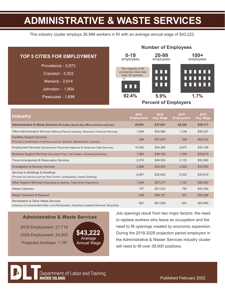### **ADMINISTRATIVE & WASTE SERVICES**

This industry cluster employs 26,988 workers in RI with an average annual wage of \$43,222.

| <b>TOP 5 CITIES FOR EMPLOYMENT</b> | $0 - 19$<br>employees                   | 20-99<br>employees          | $100+$<br>employees           |
|------------------------------------|-----------------------------------------|-----------------------------|-------------------------------|
| Providence - 5,973                 | The majority of RI                      |                             |                               |
| Cranston - 3,022                   | companies have less<br>than 20 workers. | nnn                         | <u>TITTI T</u>                |
| Warwick - 2,614                    |                                         | nnn<br>n n n                | <b>THEFT</b><br>n 11 11 11 11 |
| Johnston - 1,904                   | A L D                                   |                             |                               |
| Pawtucket - 1,698                  | 92.4%                                   | 5.9%                        | 1.7%                          |
|                                    |                                         | <b>Percent of Employers</b> |                               |

| <b>Industry</b>                                                                                                                           | 2018<br><b>Employment</b> | 2018<br>Avg. Wage | 2019<br><b>Employment</b> | 2019<br>Avg. Wage |  |
|-------------------------------------------------------------------------------------------------------------------------------------------|---------------------------|-------------------|---------------------------|-------------------|--|
| Administrative & Waste Services (Provides day-to-day office services such as;)                                                            | 29,591                    | \$37,641          | 29,325                    | \$39,177          |  |
| Office Administrative Services (Billing & Record Keeping, Personnel, Financial Planning)                                                  | 1,064                     | \$55,966          | 1,239                     | \$58,357          |  |
| <b>Facilities Support Services</b><br>(Provide a combination of services such as Janitorial, Maintenance, Laundry)                        | 289                       | \$57,876          | 328                       | \$64,532          |  |
| Employment Services (Employment Placement Agencies & Temporary Help Services)                                                             | 10,492                    | \$34,365          | 9,872                     | \$35,168          |  |
| Business Support Services (Document Prep, Call Centers, Answering Services)                                                               | 1,564                     | \$48,750          | 1,524                     | \$50,615          |  |
| Travel Arrangement & Reservation Services                                                                                                 | 2,070                     | \$49,503          | 2,123                     | \$52,990          |  |
| <b>Investigation &amp; Security Services</b>                                                                                              | 2,889                     | \$32,563          | 2,920                     | \$33,505          |  |
| Services to Buildings & Dwellings<br>(Provide one service such as Pest Control, Landscaping, Carpet Cleaning)                             | 8,067                     | \$32,602          | 8,353                     | \$33,918          |  |
| Other Support Services (Packaging & Labeling, Trade Show Organizers)                                                                      | 1,284                     | \$27,317          | 1,191                     | \$28,080          |  |
| <b>Waste Collection</b>                                                                                                                   | 797                       | \$51,033          | 793                       | \$55,386          |  |
| Waste Treatment & Disposal                                                                                                                | 408                       | \$59,181          | 301                       | \$55,086          |  |
| <b>Remediation &amp; Other Waste Services</b><br>(Cleanup of Contaminated Sites, Land Reclamation, Hazardous material Removal, Recycling) | 667                       | \$61,936          | 681                       | \$63,869          |  |

### **Administrative & Waste Services**

2018 Employment: 27,719 2028 Employment: 29,500 Projected Increase: 1,781



Job openings result from two major factors: the need to replace workers who leave an occupation and the need to fill openings created by economic expansion. During the 2018-2028 projection period employers in the Administrative & Waster Services industry cluster will need to fill over 39,000 positions.

**Number of Employees**

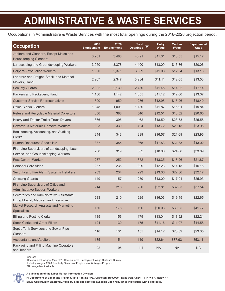## **ADMINISTRATIVE & WASTE SERVICES**

Occupations in Administrative & Waste Services with the most total openings during the 2018-2028 projection period.

| <b>Occupation</b>                                                                  | 2018<br><b>Employment</b> | 2028<br><b>Employment</b> | <b>Total</b><br><b>Openings</b> | Entry<br>Wage | <b>Median</b><br>Wage | <b>Experienced</b><br>Wage |
|------------------------------------------------------------------------------------|---------------------------|---------------------------|---------------------------------|---------------|-----------------------|----------------------------|
| Janitors and Cleaners, Except Maids and<br><b>Housekeeping Cleaners</b>            | 3,201                     | 3,488                     | 46,91                           | \$11.31       | \$13.55               | \$15.17                    |
| Landscaping and Groundskeeping Workers                                             | 3,050                     | 3,378                     | 4,490                           | \$13.09       | \$16.86               | \$20.06                    |
| <b>Helpers--Production Workers</b>                                                 | 1,820                     | 2,371                     | 3,639                           | \$11.08       | \$12.04               | \$13.13                    |
| Laborers and Freight, Stock, and Material<br>Movers, Hand                          | 2,267                     | 2,347                     | 3,284                           | \$11.11       | \$12.05               | \$13.53                    |
| <b>Security Guards</b>                                                             | 2,022                     | 2,130                     | 2,780                           | \$11.45       | \$14.22               | \$17.14                    |
| Packers and Packagers, Hand                                                        | 1,106                     | 1,142                     | 1,655                           | \$11.12       | \$12.00               | \$13.07                    |
| <b>Customer Service Representatives</b>                                            | 890                       | 950                       | 1,286                           | \$12.98       | \$16.26               | \$18.40                    |
| Office Clerks, General                                                             | 1,048                     | 1,001                     | 1,180                           | \$11.87       | \$16.91               | \$19.84                    |
| <b>Refuse and Recyclable Material Collectors</b>                                   | 356                       | 388                       | 546                             | \$12.51       | \$18.52               | \$20.65                    |
| Heavy and Tractor-Trailer Truck Drivers                                            | 366                       | 395                       | 462                             | \$18.50       | \$23.38               | \$25.58                    |
| <b>Hazardous Materials Removal Workers</b>                                         | 303                       | 330                       | 424                             | \$13.72       | \$20.15               | \$23.96                    |
| Bookkeeping, Accounting, and Auditing<br><b>Clerks</b>                             | 344                       | 343                       | 399                             | \$16.57       | \$21.69               | \$23.96                    |
| <b>Human Resources Specialists</b>                                                 | 337                       | 355                       | 365                             | \$17.53       | \$31.33               | \$43.02                    |
| First-Line Supervisors of Landscaping, Lawn<br>Service, and Groundskeeping Workers | 288                       | 319                       | 362                             | \$18.08       | \$24.68               | \$33.89                    |
| <b>Pest Control Workers</b>                                                        | 237                       | 252                       | 352                             | \$13.35       | \$18.26               | \$21.87                    |
| Personal Care Aides                                                                | 237                       | 236                       | 329                             | \$12.23       | \$14.15               | \$15.16                    |
| Security and Fire Alarm Systems Installers                                         | 203                       | 234                       | 293                             | \$13.36       | \$22.36               | \$32.17                    |
| <b>Crossing Guards</b>                                                             | 149                       | 157                       | 259                             | \$13.00       | \$17.91               | \$25.93                    |
| First-Line Supervisors of Office and<br><b>Administrative Support Workers</b>      | 214                       | 218                       | 230                             | \$22.81       | \$32.63               | \$37.54                    |
| Secretaries and Administrative Assistants,<br>Except Legal, Medical, and Executive | 233                       | 210                       | 225                             | \$16.03       | \$19.45               | \$22.65                    |
| Market Research Analysts and Marketing<br><b>Specialists</b>                       | 150                       | 178                       | 196                             | \$20.03       | \$30.05               | \$41.77                    |
| <b>Billing and Posting Clerks</b>                                                  | 135                       | 156                       | 179                             | \$13.04       | \$18.92               | \$22.21                    |
| <b>Stock Clerks and Order Fillers</b>                                              | 124                       | 130                       | 175                             | \$11.16       | \$11.97               | \$14.58                    |
| Septic Tank Servicers and Sewer Pipe<br>Cleaners                                   | 116                       | 131                       | 155                             | \$14.12       | \$20.39               | \$23.35                    |
| <b>Accountants and Auditors</b>                                                    | 135                       | 151                       | 149                             | \$22.64       | \$37.93               | \$53.11                    |
| Packaging and Filling Machine Operators<br>and Tenders                             | 92                        | 95                        | 111                             | NA            | $\sf NA$              | $\sf NA$                   |

Source:

Occupational Wages: May 2020 Occupational Employment Wage Statistics Survey. Industry Wages: 2020 Quarterly Census of Employment & Wages Program. NA: Wage Not Available



**A publication of the Labor Market Information Division**

**RI Department of Labor and Training, 1511 Pontiac Ave., Cranston, RI 02920 https://dlt.ri.gov/ TTY via RI Relay 711**

**Equal Opportunity Employer. Auxiliary aids and services available upon request to individuals with disabilities.**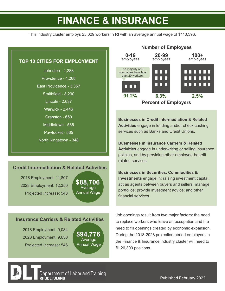### **FINANCE & INSURANCE**

This industry cluster employs 25,629 workers in RI with an average annual wage of \$110,396.

#### **TOP 10 CITIES FOR EMPLOYMENT**

Johnston - 4,288 Providence - 4,268 East Providence - 3,357 Smithfield - 3.290 Lincoln - 2,637 Warwick - 2,446 Cranston - 650 Middletown - 566 Pawtucket - 565 North Kingstown - 348

#### **Credit Intermediation & Related Activities**

2018 Employment: 11,807 2028 Employment: 12,350 Projected Increase: 543

Average Annual Wage **\$88,706**

#### **Insurance Carriers & Related Activities**

2018 Employment: 9,084 2028 Employment: 9,630 Projected Increase: 546

**Average** Annual Wage **\$94,776**



**Businesses in Credit Intermediation & Related Activities** engage in lending and/or check cashing services such as Banks and Credit Unions.

**Businesses in Insurance Carriers & Related Activities** engage in underwriting or selling insurance policies, and by providing other employee-benefit related services.

#### **Businesses in Securities, Commodities &**

**Investments** engage in: raising investment capital; act as agents between buyers and sellers; manage portfolios; provide investment advice; and other financial services

Job openings result from two major factors: the need to replace workers who leave an occupation and the need to fill openings created by economic expansion. During the 2018-2028 projection period employers in the Finance & Insurance industry cluster will need to fill 26,300 positions.

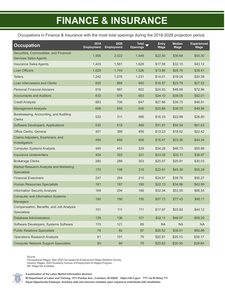# **FINANCE & INSURANCE**

Occupations in Finance & Insurance with the most total openings during the 2018-2028 projection period.

| <b>Occupation</b>                                                      | 2018<br><b>Employment</b> | 2028<br><b>Employment</b> | <b>Total</b><br><b>Openings</b> | <b>Entry</b><br>Wage | <b>Median</b><br>Wage | <b>Experienced</b><br>Wage |
|------------------------------------------------------------------------|---------------------------|---------------------------|---------------------------------|----------------------|-----------------------|----------------------------|
| Securities, Commodities, and Financial<br><b>Services Sales Agents</b> | 1,958                     | 2,022                     | 1,948                           | \$22.50              | \$36.68               | \$50.30                    |
| <b>Insurance Sales Agents</b>                                          | 1,403                     | 1,581                     | 1,628                           | \$17.59              | \$32.10               | \$43.12                    |
| <b>Loan Officers</b>                                                   | 1,629                     | 1,744                     | 1,526                           | \$13.86              | \$28.76               | \$39.41                    |
| <b>Tellers</b>                                                         | 1,242                     | 1,076                     | 1,231                           | \$14.01              | \$18.04               | \$20.38                    |
| Loan Interviewers and Clerks                                           | 826                       | 894                       | 940                             | \$16.37              | \$23.76               | \$27.52                    |
| <b>Personal Financial Advisors</b>                                     | 918                       | 997                       | 802                             | \$24.93              | \$46.69               | \$72.86                    |
| <b>Accountants and Auditors</b>                                        | 633                       | 676                       | 653                             | \$24.10              | \$39.05               | \$52.01                    |
| <b>Credit Analysts</b>                                                 | 683                       | 706                       | 647                             | \$27.88              | \$39.75               | \$48.91                    |
| <b>Management Analysts</b>                                             | 606                       | 650                       | 636                             | \$25.88              | \$39.70               | \$49.56                    |
| Bookkeeping, Accounting, and Auditing<br><b>Clerks</b>                 | 532                       | 511                       | 586                             | \$16.33              | \$22.89               | \$26.80                    |
| Software Developers, Applications                                      | 535                       | 618                       | 489                             | \$31.91              | \$50.54               | \$61.63                    |
| Office Clerks, General                                                 | 401                       | 386                       | 456                             | \$13.23              | \$18.62               | \$22.42                    |
| Claims Adjusters, Examiners, and<br>Investigators                      | 495                       | 486                       | 406                             | \$16.47              | \$33.36               | \$44.34                    |
| <b>Computer Systems Analysts</b>                                       | 445                       | 451                       | 329                             | \$34.28              | \$46.73               | \$55.89                    |
| <b>Insurance Underwriters</b>                                          | 404                       | 393                       | 321                             | \$23.05              | \$33.11               | \$38.97                    |
| <b>Brokerage Clerks</b>                                                | 280                       | 289                       | 303                             | \$20.57              | \$25.91               | \$30.03                    |
| Market Research Analysts and Marketing<br><b>Specialists</b>           | 170                       | 198                       | 216                             | \$22.61              | \$45.39               | \$55.29                    |
| <b>Financial Examiners</b>                                             | 247                       | 264                       | 210                             | \$24.37              | \$39.76               | \$50.27                    |
| <b>Human Resources Specialists</b>                                     | 181                       | 187                       | 190                             | \$22.13              | \$34.96               | \$42.95                    |
| <b>Information Security Analysts</b>                                   | 169                       | 204                       | 168                             | \$32.34              | \$53.55               | \$66.55                    |
| <b>Computer and Information Systems</b><br><b>Managers</b>             | 180                       | 190                       | 155                             | \$57.73              | \$77.43               | \$90.11                    |
| Compensation, Benefits, and Job Analysis<br><b>Specialists</b>         | 101                       | 111                       | 111                             | \$17.87              | \$33.83               | \$44.12                    |
| <b>Database Administrators</b>                                         | 129                       | 136                       | 101                             | \$32.11              | \$48.67               | \$59.20                    |
| Software Developers, Systems Software                                  | 115                       | 121                       | 89                              | <b>NA</b>            | <b>NA</b>             | <b>NA</b>                  |
| <b>Public Relations Specialists</b>                                    | 78                        | 82                        | 87                              | \$26.52              | \$38.51               | \$50.86                    |
| <b>Operations Research Analysts</b>                                    | 81                        | 101                       | 79                              | \$20.81              | \$25.10               | \$39.17                    |
| <b>Computer Network Support Specialists</b>                            | 83                        | 88                        | 75                              | \$20.82              | \$30.35               | \$39.84                    |

Source:

Occupational Wages: May 2020 Occupational Employment Wage Statistics Survey. Industry Wages: 2020 Quarterly Census of Employment & Wages Program. NA: Wage Not Available

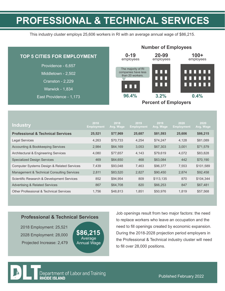### **PROFESSIONAL & TECHNICAL SERVICES**

This industry cluster employs 25,606 workers in RI with an average annual wage of \$86,215.

| <b>TOP 5 CITIES FOR EMPLOYMENT</b> | $0 - 19$<br>employees                   | 20-99<br>employees | $100+$<br>employees |  |
|------------------------------------|-----------------------------------------|--------------------|---------------------|--|
| Providence - 6,657                 | The majority of RI                      |                    |                     |  |
| Middletown - 2,502                 | companies have less<br>than 20 workers. | n n n              | mana an             |  |
| <b>Cranston - 2,229</b>            |                                         | nnn<br>nnn         | ,,,,,,,<br>,,,,,,,  |  |
| <b>Warwick - 1,834</b>             | nnn                                     |                    |                     |  |
| East Providence - 1,173            | 96.4%                                   | 3.2%               | 0.4%                |  |
|                                    | <b>Percent of Employers</b>             |                    |                     |  |

| <b>Industry</b>                                       | 2018<br><b>Employment</b> | 2018<br>Avg. Wage | 2019<br><b>Employment</b> | 2019<br>Avg. Wage | 2020<br><b>Employment</b> | 2020<br>Avg. Wage |
|-------------------------------------------------------|---------------------------|-------------------|---------------------------|-------------------|---------------------------|-------------------|
| <b>Professional &amp; Technical Services</b>          | 25,521                    | \$77,969          | 25,687                    | \$81,593          | 25,606                    | \$86,215          |
| Legal Services                                        | 4.263                     | \$70,733          | 4,254                     | \$74,247          | 4,128                     | \$81,089          |
| <b>Accounting &amp; Bookkeeping Services</b>          | 2,984                     | \$64,169          | 3,053                     | \$67,303          | 3,001                     | \$71,579          |
| Architectural & Engineering Services                  | 4,080                     | \$77,657          | 4,143                     | \$79,619          | 4,072                     | \$83,828          |
| <b>Specialized Design Services</b>                    | 469                       | \$64,650          | 468                       | \$63,084          | 442                       | \$70,190          |
| <b>Computer Systems Design &amp; Related Services</b> | 7.439                     | \$93.048          | 7,463                     | \$96,377          | 7,553                     | \$101,589         |
| Management & Technical Consulting Services            | 2.811                     | \$83,520          | 2,827                     | \$90,450          | 2,874                     | \$92,458          |
| Scientific Research & Development Services            | 852                       | \$94,954          | 809                       | \$113,135         | 870                       | \$104,344         |
| <b>Advertising &amp; Related Services</b>             | 867                       | \$64,708          | 820                       | \$66,253          | 847                       | \$67,481          |
| Other Professional & Technical Services               | 1.756                     | \$48,813          | 1,851                     | \$50,976          | 1,819                     | \$57,568          |

#### **Professional & Technical Services**

2018 Employment: 25,521 2028 Employment: 28,000 Projected Increase: 2,479



Job openings result from two major factors: the need to replace workers who leave an occupation and the need to fill openings created by economic expansion. During the 2018-2028 projection period employers in the Professional & Technical industry cluster will need to fill over 28,000 positions.

**Number of Employees**

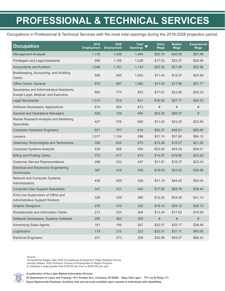### **PROFESSIONAL & TECHNICAL SERVICES**

Occupations in Professional & Technical Services with the most total openings during the 2018-2028 projection period.

| <b>Occupation</b>                                                                  | 2018<br><b>Employment</b> | 2028<br><b>Employment</b> | <b>Total</b><br><b>Openings</b> | <b>Entry</b><br>Wage | <b>Median</b><br>Wage | <b>Experienced</b><br>Wage |
|------------------------------------------------------------------------------------|---------------------------|---------------------------|---------------------------------|----------------------|-----------------------|----------------------------|
| <b>Management Analysts</b>                                                         | 1,176                     | 1,438                     | 1,494                           | \$26.70              | \$45.09               | \$57.48                    |
| Paralegals and Legal Assistants                                                    | 958                       | 1,106                     | 1,239                           | \$17.03              | \$22.57               | \$29.46                    |
| <b>Accountants and Auditors</b>                                                    | 1,046                     | 1,161                     | 1,143                           | \$23.34              | \$37.49               | \$52.98                    |
| Bookkeeping, Accounting, and Auditing<br><b>Clerks</b>                             | 926                       | 935                       | 1,093                           | \$11.44              | \$18.37               | \$24.59                    |
| Office Clerks, General                                                             | 875                       | 897                       | 1,082                           | \$11.63              | \$17.86               | \$21.77                    |
| Secretaries and Administrative Assistants,<br>Except Legal, Medical, and Executive | 804                       | 774                       | 853                             | \$17.61              | \$23.82               | \$28.23                    |
| <b>Legal Secretaries</b>                                                           | 1,014                     | 819                       | 831                             | \$16.92              | \$27.17               | \$30.53                    |
| Software Developers, Applications                                                  | 674                       | 924                       | 813                             | #                    | $^{\#}$               | #                          |
| <b>General and Operations Managers</b>                                             | 620                       | 729                       | 694                             | \$52.30              | \$85.57               | #                          |
| Market Research Analysts and Marketing<br>Specialists                              | 437                       | 576                       | 656                             | \$11.52              | \$23.20               | \$33.80                    |
| <b>Computer Hardware Engineers</b>                                                 | 621                       | 747                       | 619                             | \$32.27              | \$49.51               | \$60.90                    |
| Lawyers                                                                            | 1,017                     | 1,104                     | 596                             | \$31.74              | \$57.60               | \$84.10                    |
| Veterinary Technologists and Technicians                                           | 508                       | 624                       | 573                             | \$13.36              | \$18.27               | \$21.00                    |
| <b>Computer Systems Analysts</b>                                                   | 534                       | 658                       | 554                             | \$23.40              | \$44.43               | \$54.01                    |
| <b>Billing and Posting Clerks</b>                                                  | 373                       | 417                       | 473                             | \$14.87              | \$19.92               | \$23.42                    |
| <b>Customer Service Representatives</b>                                            | 298                       | 322                       | 437                             | \$11.91              | \$18.37               | \$23.43                    |
| <b>Electrical and Electronics Engineering</b><br><b>Technicians</b>                | 367                       | 416                       | 430                             | \$19.53              | \$33.53               | \$39.56                    |
| Network and Computer Systems<br>Administrators                                     | 438                       | 529                       | 428                             | \$31.19              | \$44.43               | \$54.04                    |
| <b>Computer User Support Specialists</b>                                           | 347                       | 431                       | 402                             | \$17.85              | \$29.79               | \$38.44                    |
| First-Line Supervisors of Office and<br><b>Administrative Support Workers</b>      | 328                       | 339                       | 360                             | \$12.25              | \$34.45               | \$41.12                    |
| <b>Graphic Designers</b>                                                           | 278                       | 310                       | 325                             | \$19.10              | \$29.12               | \$36.10                    |
| Receptionists and Information Clerks                                               | 213                       | 224                       | 304                             | \$13.34              | \$17.62               | \$19.59                    |
| Software Developers, Systems Software                                              | 295                       | 363                       | 300                             | $\#$                 | $\#$                  | $\#$                       |
| <b>Advertising Sales Agents</b>                                                    | 181                       | 194                       | 267                             | \$22.57              | \$33.17               | \$38.48                    |
| Logisticians                                                                       | 179                       | 215                       | 223                             | \$20.31              | \$31.11               | \$43.55                    |
| <b>Electrical Engineers</b>                                                        | 231                       | 273                       | 209                             | \$32.96              | \$49.27               | \$66.43                    |

Source:

Occupational Wages: May 2020 Occupational Employment Wage Statistics Survey. Industry Wages: 2020 Quarterly Census of Employment & Wages Program. #: indicates a wage greater than \$100.00 per hour or \$208,000 per year



**A publication of the Labor Market Information Division**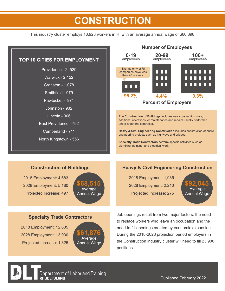### **CONSTRUCTION**

This industry cluster employs 18,928 workers in RI with an average annual wage of \$66,898.



#### **Construction of Buildings**

2018 Employment: 4,683 2028 Employment: 5,180 Projected Increase: 497



#### **Specialty Trade Contractors**

2018 Employment: 12,605 2028 Employment: 13,930 Projected Increase: 1,325



#### **Heavy & Civil Engineering Construction**

2018 Employment: 1,935 2028 Employment: 2,210 Projected Increase: 275

Average Annual Wage **\$92,045**

Job openings result from two major factors: the need to replace workers who leave an occupation and the need to fill openings created by economic expansion. During the 2018-2028 projection period employers in the Construction industry cluster will need to fill 23,900 positions.



Department of Labor and Training **RHODE ISLAND** 

Published February 2022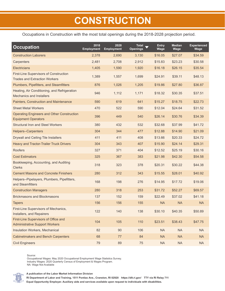### **CONSTRUCTION**

Occupations in Construction with the most total openings during the 2018-2028 projection period.

| <b>Occupation</b>                                                                     | 2018<br><b>Employment</b> | 2028<br><b>Employment</b> | <b>Total</b><br><b>Openings</b> | <b>Entry</b><br>Wage | <b>Median</b><br>Wage | <b>Experienced</b><br>Wage |
|---------------------------------------------------------------------------------------|---------------------------|---------------------------|---------------------------------|----------------------|-----------------------|----------------------------|
| <b>Construction Laborers</b>                                                          | 2,378                     | 2,690                     | 3,130                           | \$16.05              | \$27.07               | \$34.59                    |
| Carpenters                                                                            | 2,481                     | 2,708                     | 2,912                           | \$15.83              | \$23.23               | \$30.58                    |
| Electricians                                                                          | 1,405                     | 1,590                     | 1,920                           | \$16.18              | \$26.15               | \$35.54                    |
| <b>First-Line Supervisors of Construction</b><br><b>Trades and Extraction Workers</b> | 1,389                     | 1,557                     | 1,699                           | \$24.91              | \$39.11               | \$48.13                    |
| Plumbers, Pipefitters, and Steamfitters                                               | 876                       | 1,026                     | 1,205                           | \$19.86              | \$27.80               | \$36.87                    |
| Heating, Air Conditioning, and Refrigeration<br><b>Mechanics and Installers</b>       | 946                       | 1,112                     | 1,171                           | \$18.32              | \$30.35               | \$37.51                    |
| Painters, Construction and Maintenance                                                | 590                       | 619                       | 641                             | \$15.27              | \$18.75               | \$22.73                    |
| <b>Sheet Metal Workers</b>                                                            | 470                       | 522                       | 590                             | \$12.04              | \$24.64               | \$31.52                    |
| <b>Operating Engineers and Other Construction</b><br><b>Equipment Operators</b>       | 396                       | 449                       | 540                             | \$26.14              | \$30.76               | \$34.39                    |
| <b>Structural Iron and Steel Workers</b>                                              | 380                       | 432                       | 532                             | \$32.68              | \$37.99               | \$41.72                    |
| <b>Helpers--Carpenters</b>                                                            | 304                       | 344                       | 477                             | \$12.88              | \$14.90               | \$21.09                    |
| <b>Drywall and Ceiling Tile Installers</b>                                            | 411                       | 411                       | 408                             | \$13.66              | \$20.33               | \$24.72                    |
| <b>Heavy and Tractor-Trailer Truck Drivers</b>                                        | 304                       | 343                       | 407                             | \$15.90              | \$24.14               | \$29.31                    |
| <b>Roofers</b>                                                                        | 327                       | 371                       | 404                             | \$12.52              | \$25.19               | \$30.16                    |
| <b>Cost Estimators</b>                                                                | 325                       | 367                       | 383                             | \$21.98              | \$42.30               | \$54.58                    |
| Bookkeeping, Accounting, and Auditing<br><b>Clerks</b>                                | 318                       | 323                       | 378                             | \$20.31              | \$30.22               | \$44.38                    |
| <b>Cement Masons and Concrete Finishers</b>                                           | 280                       | 312                       | 343                             | \$15.55              | \$28.01               | \$40.92                    |
| Helpers--Pipelayers, Plumbers, Pipefitters,<br>and Steamfitters                       | 168                       | 198                       | 276                             | \$14.95              | \$17.72               | \$19.06                    |
| <b>Construction Managers</b>                                                          | 280                       | 318                       | 253                             | \$31.72              | \$52.27               | \$69.57                    |
| <b>Brickmasons and Blockmasons</b>                                                    | 137                       | 152                       | 159                             | \$22.49              | \$37.02               | \$41.18                    |
| <b>Tapers</b>                                                                         | 156                       | 156                       | 155                             | <b>NA</b>            | <b>NA</b>             | <b>NA</b>                  |
| First-Line Supervisors of Mechanics,<br>Installers, and Repairers                     | 122                       | 140                       | 138                             | \$30.10              | \$40.35               | \$50.89                    |
| First-Line Supervisors of Office and<br><b>Administrative Support Workers</b>         | 104                       | 105                       | 110                             | \$23.51              | \$38.43               | \$47.75                    |
| Insulation Workers, Mechanical                                                        | 82                        | $90\,$                    | 106                             | <b>NA</b>            | <b>NA</b>             | <b>NA</b>                  |
| <b>Cabinetmakers and Bench Carpenters</b>                                             | 68                        | 77                        | 84                              | <b>NA</b>            | <b>NA</b>             | <b>NA</b>                  |
| <b>Civil Engineers</b>                                                                | 79                        | 89                        | 75                              | NA                   | NA                    | <b>NA</b>                  |

Source:

Occupational Wages: May 2020 Occupational Employment Wage Statistics Survey. Industry Wages: 2020 Quarterly Census of Employment & Wages Program. NA: Wage Not Available

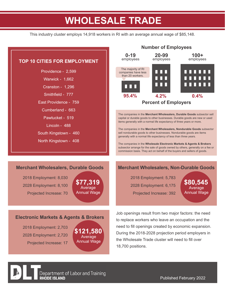### **WHOLESALE TRADE**

This industry cluster employs 14,918 workers in RI with an average annual wage of \$85,148.



2018 Employment: 2,703 2028 Employment: 2,720 Projected Increase: 17

**RHODE ISLAND** 

Average **Annual Wage \$121,580**

Department of Labor and Training

#### Published February 2022

During the 2018-2028 projection period employers in

**Number of Employees**

the Wholesale Trade cluster will need to fill over

18,700 positions.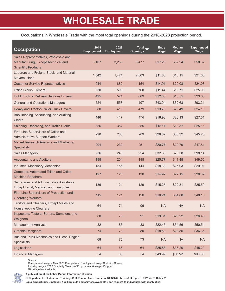### **WHOLESALE TRADE**

Occupations in Wholesale Trade with the most total openings during the 2018-2028 projection period.

| <b>Occupation</b>                                                                                         | 2018<br><b>Employment</b> | 2028<br><b>Employment</b> | Total<br><b>Openings</b> | <b>Entry</b><br>Wage | <b>Median</b><br>Wage | <b>Experienced</b><br>Wage |
|-----------------------------------------------------------------------------------------------------------|---------------------------|---------------------------|--------------------------|----------------------|-----------------------|----------------------------|
| Sales Representatives, Wholesale and<br>Manufacturing, Except Technical and<br><b>Scientific Products</b> | 3,107                     | 3,250                     | 3,477                    | \$17.23              | \$32.24               | \$50.62                    |
| Laborers and Freight, Stock, and Material<br>Movers, Hand                                                 | 1,342                     | 1,424                     | 2,003                    | \$11.88              | \$16.15               | \$21.68                    |
| <b>Customer Service Representatives</b>                                                                   | 944                       | 882                       | 1,154                    | \$14.91              | \$20.03               | \$24.03                    |
| Office Clerks, General                                                                                    | 630                       | 596                       | 700                      | \$11.44              | \$18.71               | \$25.99                    |
| <b>Light Truck or Delivery Services Drivers</b>                                                           | 495                       | 524                       | 609                      | \$12.60              | \$18.55               | \$23.63                    |
| <b>General and Operations Managers</b>                                                                    | 524                       | 553                       | 497                      | \$43.04              | \$62.63               | \$93.21                    |
| <b>Heavy and Tractor-Trailer Truck Drivers</b>                                                            | 380                       | 410                       | 479                      | \$13.78              | \$20.49               | \$24.16                    |
| Bookkeeping, Accounting, and Auditing<br><b>Clerks</b>                                                    | 446                       | 417                       | 474                      | \$16.93              | \$23.13               | \$27.61                    |
| Shipping, Receiving, and Traffic Clerks                                                                   | 356                       | 357                       | 355                      | \$15.11              | \$19.37               | \$25.15                    |
| First-Line Supervisors of Office and<br><b>Administrative Support Workers</b>                             | 290                       | 280                       | 289                      | \$26.87              | \$36.32               | \$45.26                    |
| Market Research Analysts and Marketing<br><b>Specialists</b>                                              | 204                       | 232                       | 251                      | \$20.77              | \$29.79               | \$47.81                    |
| <b>Sales Managers</b>                                                                                     | 236                       | 246                       | 224                      | \$32.33              | \$75.38               | \$98.14                    |
| <b>Accountants and Auditors</b>                                                                           | 195                       | 204                       | 195                      | \$25.77              | \$41.48               | \$49.55                    |
| <b>Industrial Machinery Mechanics</b>                                                                     | 154                       | 156                       | 144                      | \$18.38              | \$25.03               | \$29.91                    |
| Computer, Automated Teller, and Office<br><b>Machine Repairers</b>                                        | 127                       | 128                       | 136                      | \$14.99              | \$22.15               | \$26.39                    |
| Secretaries and Administrative Assistants,<br>Except Legal, Medical, and Executive                        | 136                       | 121                       | 129                      | \$15.25              | \$22.81               | \$25.59                    |
| First-Line Supervisors of Production and<br><b>Operating Workers</b>                                      | 115                       | 121                       | 126                      | \$18.21              | \$34.88               | \$40.16                    |
| Janitors and Cleaners, Except Maids and<br><b>Housekeeping Cleaners</b>                                   | 64                        | 71                        | 96                       | <b>NA</b>            | <b>NA</b>             | <b>NA</b>                  |
| Inspectors, Testers, Sorters, Samplers, and<br>Weighers                                                   | 80                        | 75                        | 91                       | \$13.31              | \$20.22               | \$26.45                    |
| <b>Management Analysts</b>                                                                                | 82                        | 86                        | 83                       | \$22.45              | \$34.56               | \$50.54                    |
| <b>Graphic Designers</b>                                                                                  | 74                        | 78                        | 80                       | \$18.59              | \$28.85               | \$36.36                    |
| Bus and Truck Mechanics and Diesel Engine<br>Specialists                                                  | 68                        | 75                        | 73                       | <b>NA</b>            | <b>NA</b>             | <b>NA</b>                  |
| Logisticians                                                                                              | 64                        | 66                        | 64                       | \$25.88              | \$36.20               | \$45.20                    |
| <b>Financial Managers</b>                                                                                 | 54                        | 63                        | 54                       | \$43.99              | \$80.52               | \$90.66                    |

Source:

NA: Wage Not Available

Occupational Wages: May 2020 Occupational Employment Wage Statistics Survey. Industry Wages: 2020 Quarterly Census of Employment & Wages Program.



**A publication of the Labor Market Information Division**

**RI Department of Labor and Training, 1511 Pontiac Ave., Cranston, RI 02920 https://dlt.ri.gov/ TTY via RI Relay 711**

**Equal Opportunity Employer. Auxiliary aids and services available upon request to individuals with disabilities.**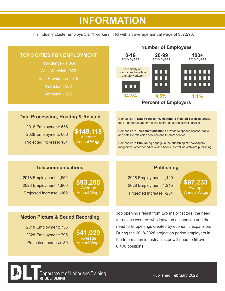### **HEALTHCARE INFORMATION**

This industry cluster employs 5,241 workers in RI with an average annual wage of \$87,296.



6,400 positions.

Annual Wage

Department of Labor and Training

**RHODE ISLAND** 

#### Published February 2022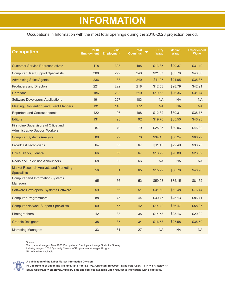### **INFORMATION**

#### Occupations in Information with the most total openings during the 2018-2028 projection period.

| <b>Occupation</b>                                                             | 2018<br><b>Employment</b> | 2028<br><b>Employment</b> | <b>Total</b><br><b>Openings</b> | <b>Entry</b><br>Wage | <b>Median</b><br>Wage | <b>Experienced</b><br>Wage |
|-------------------------------------------------------------------------------|---------------------------|---------------------------|---------------------------------|----------------------|-----------------------|----------------------------|
| <b>Customer Service Representatives</b>                                       | 478                       | 393                       | 495                             | \$13.35              | \$20.37               | \$31.19                    |
| <b>Computer User Support Specialists</b>                                      | 308                       | 299                       | 240                             | \$21.57              | \$35.76               | \$43.06                    |
| <b>Advertising Sales Agents</b>                                               | 236                       | 188                       | 240                             | \$11.97              | \$24.05               | \$35.37                    |
| <b>Producers and Directors</b>                                                | 221                       | 222                       | 218                             | \$12.53              | \$28.79               | \$42.91                    |
| Librarians                                                                    | 186                       | 203                       | 210                             | \$19.53              | \$26.36               | \$31.14                    |
| Software Developers, Applications                                             | 191                       | 227                       | 183                             | <b>NA</b>            | <b>NA</b>             | <b>NA</b>                  |
| Meeting, Convention, and Event Planners                                       | 131                       | 146                       | 172                             | <b>NA</b>            | <b>NA</b>             | <b>NA</b>                  |
| <b>Reporters and Correspondents</b>                                           | 122                       | 96                        | 108                             | \$12.32              | \$30.31               | \$38.77                    |
| <b>Editors</b>                                                                | 131                       | 98                        | 92                              | \$19.70              | \$35.50               | \$46.93                    |
| First-Line Supervisors of Office and<br><b>Administrative Support Workers</b> | 87                        | 79                        | 79                              | \$25.95              | \$39.06               | \$46.32                    |
| <b>Computer Systems Analysts</b>                                              | 89                        | 99                        | 78                              | \$34.45              | \$50.24               | \$66.79                    |
| <b>Broadcast Technicians</b>                                                  | 64                        | 63                        | 67                              | \$11.45              | \$22.49               | \$33.25                    |
| <b>Office Clerks, General</b>                                                 | 66                        | 58                        | 67                              | \$13.22              | \$20.80               | \$23.52                    |
| <b>Radio and Television Announcers</b>                                        | 68                        | 60                        | 66                              | <b>NA</b>            | <b>NA</b>             | <b>NA</b>                  |
| <b>Market Research Analysts and Marketing</b><br><b>Specialists</b>           | 56                        | 61                        | 65                              | \$15.72              | \$36.76               | \$48.96                    |
| <b>Computer and Information Systems</b><br><b>Managers</b>                    | 65                        | 66                        | 52                              | \$59.08              | \$75.15               | \$81.62                    |
| Software Developers, Systems Software                                         | 59                        | 66                        | 51                              | \$31.60              | \$52.48               | \$76.44                    |
| <b>Computer Programmers</b>                                                   | 88                        | 75                        | 44                              | \$30.47              | \$45.13               | \$86.41                    |
| <b>Computer Network Support Specialists</b>                                   | 59                        | 55                        | 42                              | \$14.42              | \$36.47               | \$58.07                    |
| Photographers                                                                 | 42                        | 38                        | 35                              | \$14.53              | \$23.16               | \$29.22                    |
| <b>Graphic Designers</b>                                                      | 38                        | 35                        | 34                              | \$16.53              | \$27.58               | \$35.50                    |
| <b>Marketing Managers</b>                                                     | 33                        | 31                        | 27                              | <b>NA</b>            | <b>NA</b>             | <b>NA</b>                  |

Source:

Occupational Wages: May 2020 Occupational Employment Wage Statistics Survey. Industry Wages: 2020 Quarterly Census of Employment & Wages Program. NA: Wage Not Available



**A publication of the Labor Market Information Division**

**RI Department of Labor and Training, 1511 Pontiac Ave., Cranston, RI 02920 https://dlt.ri.gov/ TTY via RI Relay 711**

**Equal Opportunity Employer. Auxiliary aids and services available upon request to individuals with disabilities.**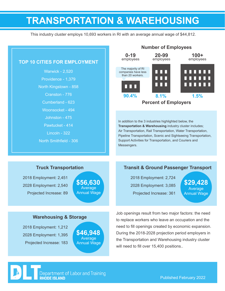### **TRANSPORTATION & WAREHOUSING**

This industry cluster employs 10,693 workers in RI with an average annual wage of \$44,812.

**Number of Employees**

| <b>TOP 10 CITIES FOR EMPLOYMENT</b><br><b>Warwick - 2,520</b><br>Providence - 1,379<br>North Kingstown - 858<br>Cranston - 776<br>Cumberland - 623           | 20-99<br>$100+$<br>$0 - 19$<br>employees<br>employees<br>employees<br>The majority of RI<br>n n n<br>companies have less<br>than 20 workers.<br>nnn<br>0 O O<br>n 11 M<br>. .<br>90.4%<br>8.1%<br>1.5%<br><b>Percent of Employers</b>                                                                                            |
|--------------------------------------------------------------------------------------------------------------------------------------------------------------|----------------------------------------------------------------------------------------------------------------------------------------------------------------------------------------------------------------------------------------------------------------------------------------------------------------------------------|
| Woonsocket - 494<br>Johnston - 475<br>Pawtucket - 414<br>Lincoln - 322<br>North Smithfield - 306                                                             | In addition to the 3 industries highlighted below, the<br>Transportation & Warehousing industry cluster includes;<br>Air Transportation, Rail Transportation, Water Transportation,<br>Pipeline Transportation, Scenic and Sightseeing Transportation,<br>Support Activities for Transportation, and Couriers and<br>Messengers. |
| <b>Truck Transportation</b><br>2018 Employment: 2,451<br>\$56,630<br>2028 Employment: 2,540<br>Average<br><b>Annual Wage</b><br>Projected Increase: 89       | <b>Transit &amp; Ground Passenger Transport</b><br>2018 Employment: 2,724<br>\$29,428<br>2028 Employment: 3,085<br>Average<br>Projected Increase: 361<br><b>Annual Wage</b>                                                                                                                                                      |
| <b>Warehousing &amp; Storage</b><br>2018 Employment: 1,212<br>\$46,948<br>2028 Employment: 1,395<br>Average<br>Projected Increase: 183<br><b>Annual Wage</b> | Job openings result from two major factors: the need<br>to replace workers who leave an occupation and the<br>need to fill openings created by economic expansion.<br>During the 2018-2028 projection period employers in<br>the Transportation and Warehousing industry cluster<br>will need to fill over 15,400 positions      |

Department of Labor and Training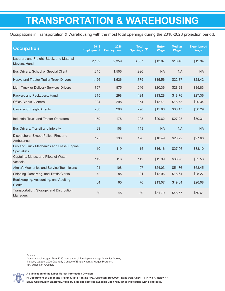### **TRANSPORTATION & WAREHOUSING**

Occupations in Transportation & Warehousing with the most total openings during the 2018-2028 projection period.

| <b>Occupation</b>                                               | 2018<br><b>Employment</b> | 2028<br><b>Employment</b> | <b>Total</b><br>Openings V | <b>Entry</b><br>Wage | <b>Median</b><br>Wage | <b>Experienced</b><br><b>Wage</b> |
|-----------------------------------------------------------------|---------------------------|---------------------------|----------------------------|----------------------|-----------------------|-----------------------------------|
| Laborers and Freight, Stock, and Material<br>Movers, Hand       | 2,162                     | 2,359                     | 3,337                      | \$13.07              | \$16.46               | \$19.94                           |
| Bus Drivers, School or Special Client                           | 1,245                     | 1,506                     | 1,996                      | <b>NA</b>            | <b>NA</b>             | <b>NA</b>                         |
| Heavy and Tractor-Trailer Truck Drivers                         | 1,426                     | 1,526                     | 1,779                      | \$15.56              | \$22.87               | \$28.42                           |
| <b>Light Truck or Delivery Services Drivers</b>                 | 757                       | 875                       | 1,046                      | \$20.36              | \$28.28               | \$35.83                           |
| Packers and Packagers, Hand                                     | 315                       | 298                       | 424                        | \$13.28              | \$18.76               | \$27.36                           |
| Office Clerks, General                                          | 304                       | 298                       | 354                        | \$12.41              | \$16.73               | \$20.34                           |
| <b>Cargo and Freight Agents</b>                                 | 268                       | 296                       | 296                        | \$15.86              | \$30.17               | \$36.29                           |
| Industrial Truck and Tractor Operators                          | 159                       | 178                       | 208                        | \$20.62              | \$27.28               | \$30.31                           |
| Bus Drivers, Transit and Intercity                              | 89                        | 108                       | 143                        | <b>NA</b>            | <b>NA</b>             | <b>NA</b>                         |
| Dispatchers, Except Police, Fire, and<br>Ambulance              | 125                       | 130                       | 126                        | \$16.49              | \$23.22               | \$27.68                           |
| Bus and Truck Mechanics and Diesel Engine<br><b>Specialists</b> | 110                       | 119                       | 115                        | \$16.16              | \$27.06               | \$33.10                           |
| Captains, Mates, and Pilots of Water<br><b>Vessels</b>          | 112                       | 116                       | 112                        | \$19.99              | \$36.98               | \$52.53                           |
| <b>Aircraft Mechanics and Service Technicians</b>               | 94                        | 108                       | 97                         | \$24.03              | \$51.86               | \$58.45                           |
| Shipping, Receiving, and Traffic Clerks                         | 72                        | 85                        | 91                         | \$12.96              | \$18.64               | \$25.27                           |
| Bookkeeping, Accounting, and Auditing<br><b>Clerks</b>          | 64                        | 65                        | 76                         | \$13.07              | \$19.84               | \$26.08                           |
| Transportation, Storage, and Distribution<br><b>Managers</b>    | 39                        | 45                        | 39                         | \$31.79              | \$48.57               | \$59.61                           |

Source:

Occupational Wages: May 2020 Occupational Employment Wage Statistics Survey. Industry Wages: 2020 Quarterly Census of Employment & Wages Program. NA: Wage Not Available



**A publication of the Labor Market Information Division**